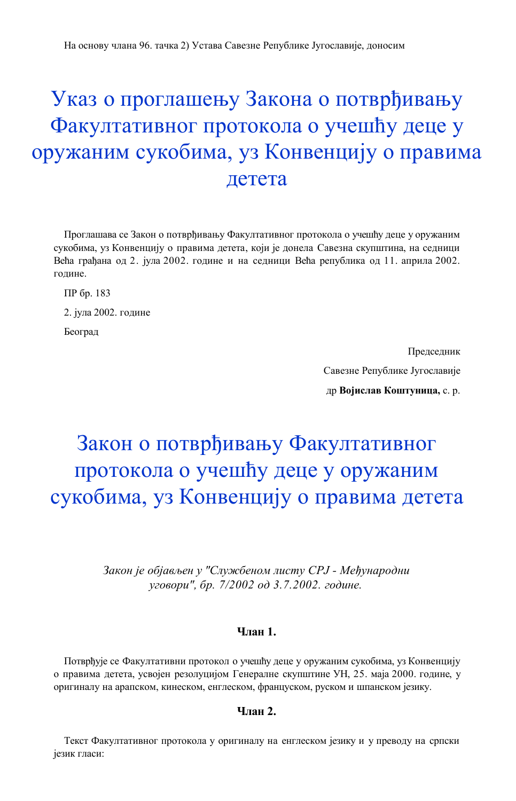# Указ о проглашењу Закона о потврђивању Факултативног протокола о учешћу деце у оружаним сукобима, уз Конвенцију о правима детета

Проглашава се Закон о потврђивању Факултативног протокола о учешћу деце у оружаним сукобима, уз Конвенцију о правима детета, који је донела Савезна скупштина, на седници Већа грађана од 2. јула 2002. године и на седници Већа република од 11. априла 2002. године.

ПР бр. 183

2. јула 2002. године

Београд

Председник Савезне Републике Југославије др **Војислав Коштуница,** с. р.

# Закон о потврђивању Факултативног протокола о учешћу деце у оружаним сукобима, уз Конвенцију о правима детета

*Закон је објављен у "Службеном листу СРЈ - Међународни уговори", бр. 7/2002 од 3.7.2002. године.*

# **Члан 1.**

Потврђује се Факултативни протокол о учешћу деце у оружаним сукобима, уз Конвенцију о правима детета, усвојен резолуцијом Генералне скупштине УН, 25. маја 2000. године, у оригиналу на арапском, кинеском, енглеском, француском, руском и шпанском језику.

### **Члан 2.**

Текст Факултативног протокола у оригиналу на енглеском језику и у преводу на српски језик гласи: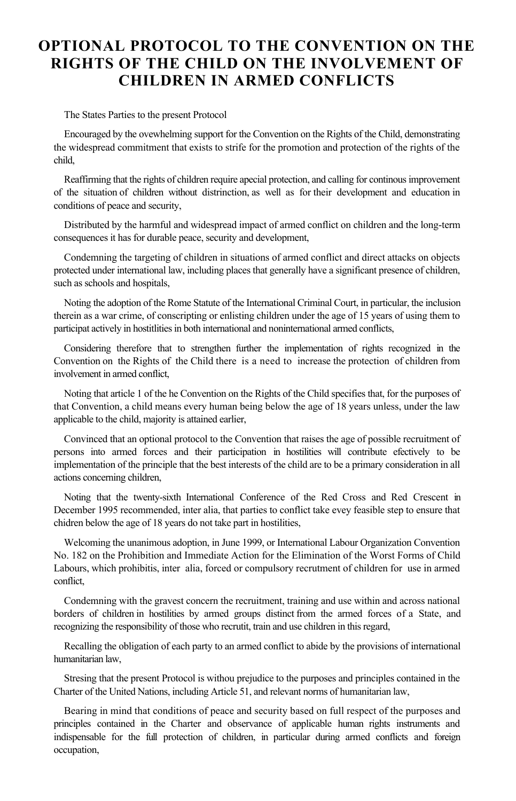# **OPTIONAL PROTOCOL TO THE CONVENTION ON THE RIGHTS OF THE CHILD ON THE INVOLVEMENT OF CHILDREN IN ARMED CONFLICTS**

The States Parties to the present Protocol

Encouraged by the ovewhelming support for the Convention on the Rights of the Child, demonstrating the widespread commitment that exists to strife for the promotion and protection of the rights of the child,

Reaffirming that the rights of children require apecial protection, and calling for continous improvement of the situation of children without distrinction, as well as for their development and education in conditions of peace and security,

Distributed by the harmful and widespread impact of armed conflict on children and the long-term consequences it has for durable peace, security and development,

Condemning the targeting of children in situations of armed conflict and direct attacks on objects protected under international law, including places that generally have a significant presence of children, such as schools and hospitals,

Noting the adoption of the Rome Statute of the International Criminal Court, in particular, the inclusion therein as a war crime, of conscripting or enlisting children under the age of 15 years of using them to participat actively in hostitlities in both international and noninternational armed conflicts,

Considering therefore that to strengthen further the implementation of rights recognized in the Convention on the Rights of the Child there is a need to increase the protection of children from involvement in armed conflict,

Noting that article 1 of the he Convention on the Rights of the Child specifies that, for the purposes of that Convention, a child means every human being below the age of 18 years unless, under the law applicable to the child, majority is attained earlier,

Convinced that an optional protocol to the Convention that raises the age of possible recruitment of persons into armed forces and their participation in hostilities will contribute efectively to be implementation of the principle that the best interests of the child are to be a primary consideration in all actions concerning children,

Noting that the twenty-sixth International Conference of the Red Cross and Red Crescent in December 1995 recommended, inter alia, that parties to conflict take evey feasible step to ensure that chidren below the age of 18 years do not take part in hostilities,

Welcoming the unanimous adoption, in June 1999, or International Labour Organization Convention No. 182 on the Prohibition and Immediate Action for the Elimination of the Worst Forms of Child Labours, which prohibitis, inter alia, forced or compulsory recrutment of children for use in armed conflict,

Condemning with the gravest concern the recruitment, training and use within and across national borders of children in hostilities by armed groups distinct from the armed forces of a State, and recognizing the responsibility of those who recrutit, train and use children in this regard,

Recalling the obligation of each party to an armed conflict to abide by the provisions of international humanitarian law,

Stresing that the present Protocol is withou prejudice to the purposes and principles contained in the Charter of the United Nations, including Article 51, and relevant norms of humanitarian law,

Bearing in mind that conditions of peace and security based on full respect of the purposes and principles contained in the Charter and observance of applicable human rights instruments and indispensable for the full protection of children, in particular during armed conflicts and foreign occupation,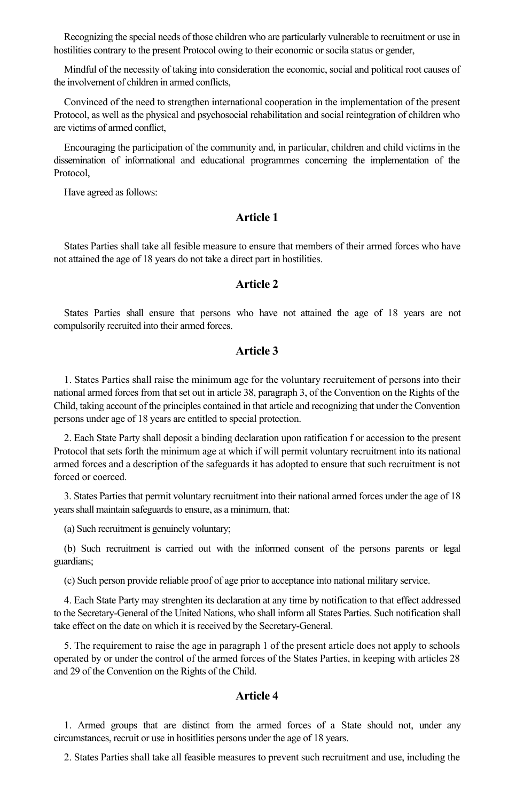Recognizing the special needs of those children who are particularly vulnerable to recruitment or use in hostilities contrary to the present Protocol owing to their economic or socila status or gender,

Mindful of the necessity of taking into consideration the economic, social and political root causes of the involvement of children in armed conflicts,

Convinced of the need to strengthen international cooperation in the implementation of the present Protocol, as well as the physical and psychosocial rehabilitation and social reintegration of children who are victims of armed conflict,

Encouraging the participation of the community and, in particular, children and child victims in the dissemination of informational and educational programmes concerning the implementation of the Protocol,

Have agreed as follows:

### **Article 1**

States Parties shall take all fesible measure to ensure that members of their armed forces who have not attained the age of 18 years do not take a direct part in hostilities.

### **Article 2**

States Parties shall ensure that persons who have not attained the age of 18 years are not compulsorily recruited into their armed forces.

### **Article 3**

1. States Parties shall raise the minimum age for the voluntary recruitement of persons into their national armed forces from that set out in article 38, paragraph 3, of the Convention on the Rights of the Child, taking account of the principles contained in that article and recognizing that under the Convention persons under age of 18 years are entitled to special protection.

2. Each State Party shall deposit a binding declaration upon ratification f or accession to the present Protocol that sets forth the minimum age at which if will permit voluntary recruitment into its national armed forces and a description of the safeguards it has adopted to ensure that such recruitment is not forced or coerced.

3. States Parties that permit voluntary recruitment into their national armed forces under the age of 18 years shall maintain safeguards to ensure, as a minimum, that:

(a) Such recruitment is genuinely voluntary;

(b) Such recruitment is carried out with the informed consent of the persons parents or legal guardians;

(c) Such person provide reliable proof of age prior to acceptance into national military service.

4. Each State Party may strenghten its declaration at any time by notification to that effect addressed to the Secretary-General of the United Nations, who shall inform all States Parties. Such notification shall take effect on the date on which it is received by the Secretary-General.

5. The requirement to raise the age in paragraph 1 of the present article does not apply to schools operated by or under the control of the armed forces of the States Parties, in keeping with articles 28 and 29 of the Convention on the Rights of the Child.

### **Article 4**

1. Armed groups that are distinct from the armed forces of a State should not, under any circumstances, recruit or use in hositlities persons under the age of 18 years.

2. States Parties shall take all feasible measures to prevent such recruitment and use, including the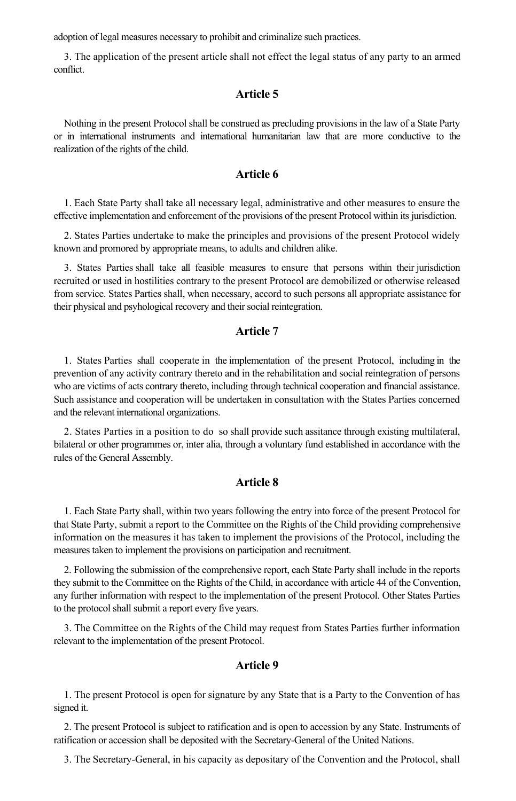adoption of legal measures necessary to prohibit and criminalize such practices.

3. The application of the present article shall not effect the legal status of any party to an armed conflict.

# **Article 5**

Nothing in the present Protocol shall be construed as precluding provisions in the law of a State Party or in international instruments and international humanitarian law that are more conductive to the realization of the rights of the child.

# **Article 6**

1. Each State Party shall take all necessary legal, administrative and other measures to ensure the effective implementation and enforcement of the provisions of the present Protocol within its jurisdiction.

2. States Parties undertake to make the principles and provisions of the present Protocol widely known and promored by appropriate means, to adults and children alike.

3. States Parties shall take all feasible measures to ensure that persons within their jurisdiction recruited or used in hostilities contrary to the present Protocol are demobilized or otherwise released from service. States Parties shall, when necessary, accord to such persons all appropriate assistance for their physical and psyhological recovery and their social reintegration.

### **Article 7**

1. States Parties shall cooperate in the implementation of the present Protocol, including in the prevention of any activity contrary thereto and in the rehabilitation and social reintegration of persons who are victims of acts contrary thereto, including through technical cooperation and financial assistance. Such assistance and cooperation will be undertaken in consultation with the States Parties concerned and the relevant international organizations.

2. States Parties in a position to do so shall provide such assitance through existing multilateral, bilateral or other programmes or, inter alia, through a voluntary fund established in accordance with the rules of the General Assembly.

### **Article 8**

1. Each State Party shall, within two years following the entry into force of the present Protocol for that State Party, submit a report to the Committee on the Rights of the Child providing comprehensive information on the measures it has taken to implement the provisions of the Protocol, including the measures taken to implement the provisions on participation and recruitment.

2. Following the submission of the comprehensive report, each State Party shall include in the reports they submit to the Committee on the Rights of the Child, in accordance with article 44 of the Convention, any further information with respect to the implementation of the present Protocol. Other States Parties to the protocol shall submit a report every five years.

3. The Committee on the Rights of the Child may request from States Parties further information relevant to the implementation of the present Protocol.

### **Article 9**

1. The present Protocol is open for signature by any State that is a Party to the Convention of has signed it.

2. The present Protocol is subject to ratification and is open to accession by any State. Instruments of ratification or accession shall be deposited with the Secretary-General of the United Nations.

3. The Secretary-General, in his capacity as depositary of the Convention and the Protocol, shall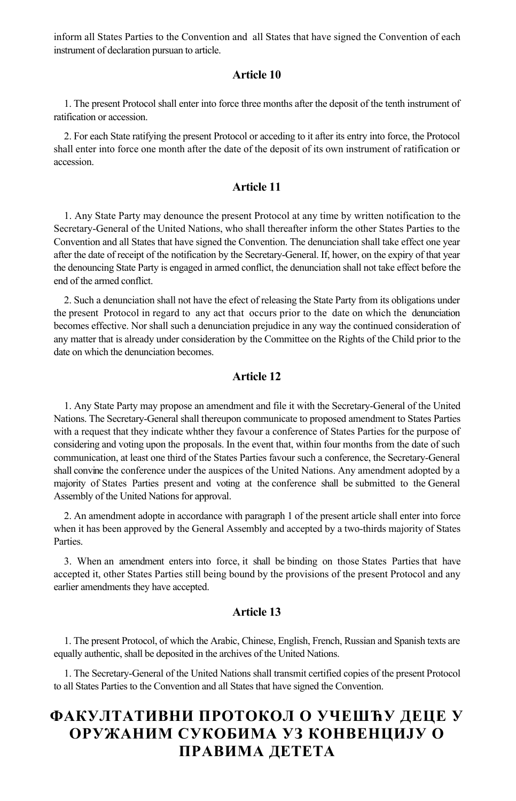inform all States Parties to the Convention and all States that have signed the Convention of each instrument of declaration pursuan to article.

### **Article 10**

1. The present Protocol shall enter into force three months after the deposit of the tenth instrument of ratification or accession.

2. For each State ratifying the present Protocol or acceding to it after its entry into force, the Protocol shall enter into force one month after the date of the deposit of its own instrument of ratification or accession.

# **Article 11**

1. Any State Party may denounce the present Protocol at any time by written notification to the Secretary-General of the United Nations, who shall thereafter inform the other States Parties to the Convention and all States that have signed the Convention. The denunciation shall take effect one year after the date of receipt of the notification by the Secretary-General. If, hower, on the expiry of that year the denouncing State Party is engaged in armed conflict, the denunciation shall not take effect before the end of the armed conflict.

2. Such a denunciation shall not have the efect of releasing the State Party from its obligations under the present Protocol in regard to any act that occurs prior to the date on which the denunciation becomes effective. Nor shall such a denunciation prejudice in any way the continued consideration of any matter that is already under consideration by the Committee on the Rights of the Child prior to the date on which the denunciation becomes.

### **Article 12**

1. Any State Party may propose an amendment and file it with the Secretary-General of the United Nations. The Secretary-General shall thereupon communicate to proposed amendment to States Parties with a request that they indicate whther they favour a conference of States Parties for the purpose of considering and voting upon the proposals. In the event that, within four months from the date of such communication, at least one third of the States Parties favour such a conference, the Secretary-General shall convine the conference under the auspices of the United Nations. Any amendment adopted by a majority of States Parties present and voting at the conference shall be submitted to the General Assembly of the United Nations for approval.

2. An amendment adopte in accordance with paragraph 1 of the present article shall enter into force when it has been approved by the General Assembly and accepted by a two-thirds majority of States Parties.

3. When an amendment enters into force, it shall be binding on those States Parties that have accepted it, other States Parties still being bound by the provisions of the present Protocol and any earlier amendments they have accepted.

## **Article 13**

1. The present Protocol, of which the Arabic, Chinese, English, French, Russian and Spanish texts are equally authentic, shall be deposited in the archives of the United Nations.

1. The Secretary-General of the United Nations shall transmit certified copies of the present Protocol to all States Parties to the Convention and all States that have signed the Convention.

# **ФАКУЛТАТИВНИ ПРОТОКОЛ О УЧЕШЋУ ДЕЦЕ У ОРУЖАНИМ СУКОБИМА УЗ КОНВЕНЦИЈУ О ПРАВИМА ДЕТЕТА**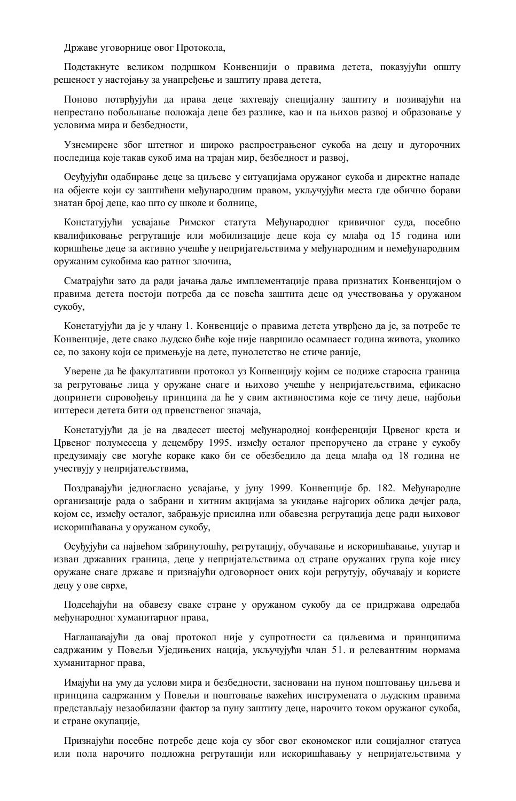Државе уговорнице овог Протокола,

Подстакнуте великом подршком Конвенцији о правима детета, показујући општу решеност у настојању за унапређење и заштиту права детета,

Поново потврђујући да права деце захтевају специјалну заштиту и позивајући на непрестано побољшање положаја деце без разлике, као и на њихов развој и образовање у условима мира и безбедности,

Узнемирене због штетног и широко распрострањеног сукоба на децу и дугорочних последица које такав сукоб има на трајан мир, безбедност и развој,

Осуђујући одабирање деце за циљеве у ситуацијама оружаног сукоба и директне нападе на објекте који су заштићени међународним правом, укључујући места где обично борави знатан број деце, као што су школе и болнице,

Констатујући усвајање Римског статута Међународног кривичног суда, посебно квалификовање регрутације или мобилизације деце која су млађа од 15 година или коришћење деце за активно учешће у непријатељствима у међународним и немеђународним оружаним сукобима као ратног злочина,

Сматрајући зато да ради јачања даље имплементације права признатих Конвенцијом о правима детета постоји потреба да се повећа заштита деце од учествовања у оружаном сукобу,

Констатујући да је у члану 1. Конвенције о правима детета утврђено да је, за потребе те Конвенције, дете свако људско биће које није навршило осамнаест година живота, уколико се, по закону који се примењује на дете, пунолетство не стиче раније,

Уверене да ће факултативни протокол уз Конвенцију којим се подиже старосна граница за регрутовање лица у оружане снаге и њихово учешће у непријатељствима, ефикасно допринети спровођењу принципа да ће у свим активностима које се тичу деце, најбољи интереси детета бити од првенственог значаја,

Констатујући да је на двадесет шестој међународној конференцији Црвеног крста и Црвеног полумесеца у децембру 1995. између осталог препоручено да стране у сукобу предузимају све могуће кораке како би се обезбедило да деца млађа од 18 година не учествују у непријатељствима,

Поздравајући једногласно усвајање, у јуну 1999. Конвенције бр. 182. Међународне организације рада о забрани и хитним акцијама за укидање најгорих облика дечјег рада, којом се, између осталог, забрањује присилна или обавезна регрутација деце ради њиховог искоришћавања у оружаном сукобу,

Осуђујући са највећом забринутошћу, регрутацију, обучавање и искоришћавање, унутар и изван државних граница, деце у непријатељствима од стране оружаних група које нису оружане снаге државе и признајући одговорност оних који регрутују, обучавају и користе децу у ове сврхе,

Подсећајући на обавезу сваке стране у оружаном сукобу да се придржава одредаба међународног хуманитарног права,

Наглашавајући да овај протокол није у супротности са циљевима и принципима садржаним у Повељи Уједињених нација, укључујући члан 51. и релевантним нормама хуманитарног права,

Имајући на уму да услови мира и безбедности, засновани на пуном поштовању циљева и принципа садржаним у Повељи и поштовање важећих инструмената о људским правима представљају незаобилазни фактор за пуну заштиту деце, нарочито током оружаног сукоба, и стране окупације,

Признајући посебне потребе деце која су због свог економског или социјалног статуса или пола нарочито подложна регрутацији или искоришћавању у непријатељствима у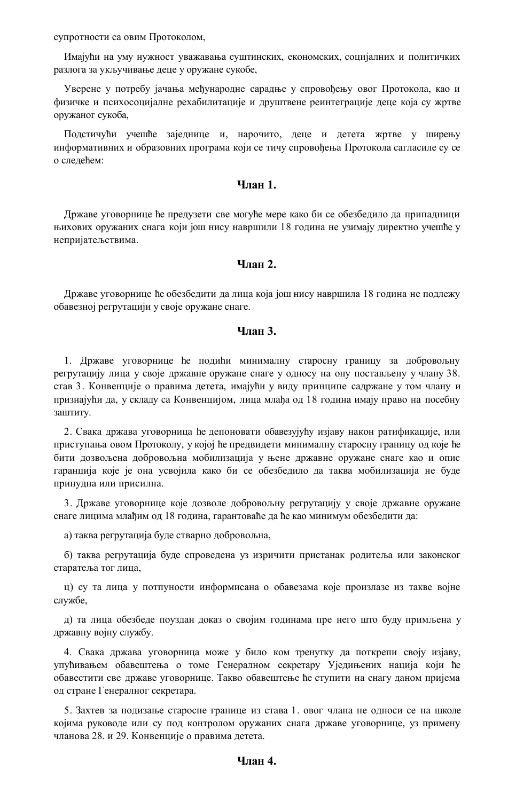супротности са овим Протоколом,

Имајући на уму нужност уважавања суштинских, економских, социјалних и политичких разлога за укључивање деце у оружане сукобе,

Уверене у потребу јачања међународне сарадње у спровођењу овог Протокола, као и физичке и психосоцијалне рехабилитације и друштвене реинтеграције деце која су жртве оружаног сукоба,

Подстичући учешће заједнице и, нарочито, деце и детета жртве у ширењу информативних и образовних програма који се тичу спровођења Протокола сагласиле су се о следећем:

# **Члан 1.**

Државе уговорнице ће предузети све могуће мере како би се обезбедило да припадници њихових оружаних снага који још нису навршили 18 година не узимају директно учешће у непријатељствима.

# **Члан 2.**

Државе уговорнице ће обезбедити да лица која још нису навршила 18 година не подлежу обавезној регрутацији у своје оружане снаге.

# **Члан 3.**

1. Државе уговорнице ће подићи минималну старосну границу за добровољну регрутацију лица у своје државне оружане снаге у односу на ону постављену у члану 38. став 3. Конвенције о правима детета, имајући у виду принципе садржане у том члану и признајући да, у складу са Конвенцијом, лица млађа од 18 година имају право на посебну заштиту.

2. Свака држава уговорница ће депоновати обавезујућу изјаву након ратификације, или приступања овом Протоколу, у којој ће предвидети минималну старосну границу од које ће бити дозвољена добровољна мобилизација у њене државне оружане снаге као и опис гаранција које је она усвојила како би се обезбедило да таква мобилизација не буде принудна или присилна.

3. Државе уговорнице које дозволе добровољну регрутацију у своје државне оружане снаге лицима млађим од 18 година, гарантоваће да ће као минимум обезбедити да:

а) таква регрутација буде стварно добровољна,

б) таква регрутација буде спроведена уз изричити пристанак родитеља или законског старатеља тог лица,

ц) су та лица у потпуности информисана о обавезама које произлазе из такве војне службе,

д) та лица обезбеде поуздан доказ о својим годинама пре него што буду примљена у државну војну службу.

4. Свака држава уговорница може у било ком тренутку да поткрепи своју изјаву, упућивањем обавештења о томе Генералном секретару Уједињених нација који ће обавестити све државе уговорнице. Такво обавештење ће ступити на снагу даном пријема од стране Генералног секретара.

5. Захтев за подизање старосне границе из става 1. овог члана не односи се на школе којима руководе или су под контролом оружаних снага државе уговорнице, уз примену чланова 28. и 29. Конвенције о правима детета.

### **Члан 4.**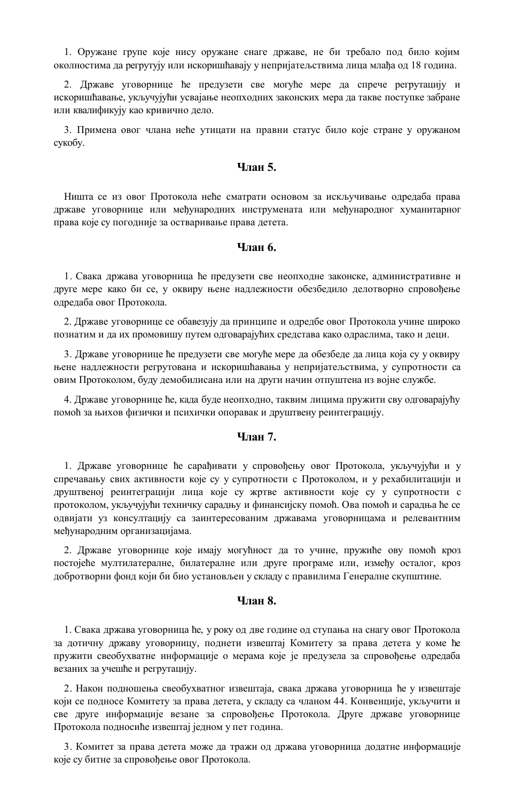1. Оружане групе које нису оружане снаге државе, не би требало под било којим околностима да регрутују или искоришћавају у непријатељствима лица млађа од 18 година.

2. Државе уговорнице ће предузети све могуће мере да спрече регрутацију и искоришћавање, укључујући усвајање неопходних законских мера да такве поступке забране или квалификују као кривично дело.

3. Примена овог члана неће утицати на правни статус било које стране у оружаном сукобу.

### **Члан 5.**

Ништа се из овог Протокола неће сматрати основом за искључивање одредаба права државе уговорнице или међународних инструмената или међународног хуманитарног права које су погодније за остваривање права детета.

# **Члан 6.**

1. Свака држава уговорница ће предузети све неопходне законске, административне и друге мере како би се, у оквиру њене надлежности обезбедило делотворно спровођење одредаба овог Протокола.

2. Државе уговорнице се обавезују да принципе и одредбе овог Протокола учине широко познатим и да их промовишу путем одговарајућих средстава како одраслима, тако и деци.

3. Државе уговорнице ће предузети све могуће мере да обезбеде да лица која су у оквиру њене надлежности регрутована и искоришћавања у непријатељствима, у супротности са овим Протоколом, буду демобилисана или на други начин отпуштена из војне службе.

4. Државе уговорнице ће, када буде неопходно, таквим лицима пружити сву одговарајућу помоћ за њихов физички и психички опоравак и друштвену реинтеграцију.

# **Члан 7.**

1. Државе уговорнице ће сарађивати у спровођењу овог Протокола, укључујући и у спречавању свих активности које су у супротности с Протоколом, и у рехабилитацији и друштвеној реинтеграцији лица које су жртве активности које су у супротности с протоколом, укључујући техничку сарадњу и финансијску помоћ. Ова помоћ и сарадња ће се одвијати уз консултацију са заинтересованим државама уговорницама и релевантним међународним организацијама.

2. Државе уговорнице које имају могућност да то учине, пружиће ову помоћ кроз постојеће мултилатералне, билатералне или друге програме или, између осталог, кроз добротворни фонд који би био установљен у складу с правилима Генералне скупштине.

# **Члан 8.**

1. Свака држава уговорница ће, у року од две године од ступања на снагу овог Протокола за дотичну државу уговорницу, поднети извештај Комитету за права детета у коме ће пружити свеобухватне информације о мерама које је предузела за спровођење одредаба везаних за учешће и регрутацију.

2. Након подношења свеобухватног извештаја, свака држава уговорница ће у извештаје који се подносе Комитету за права детета, у складу са чланом 44. Конвенције, укључити и све друге информације везане за спровођење Протокола. Друге државе уговорнице Протокола подносиће извештај једном у пет година.

3. Комитет за права детета може да тражи од држава уговорница додатне информације које су битне за спровођење овог Протокола.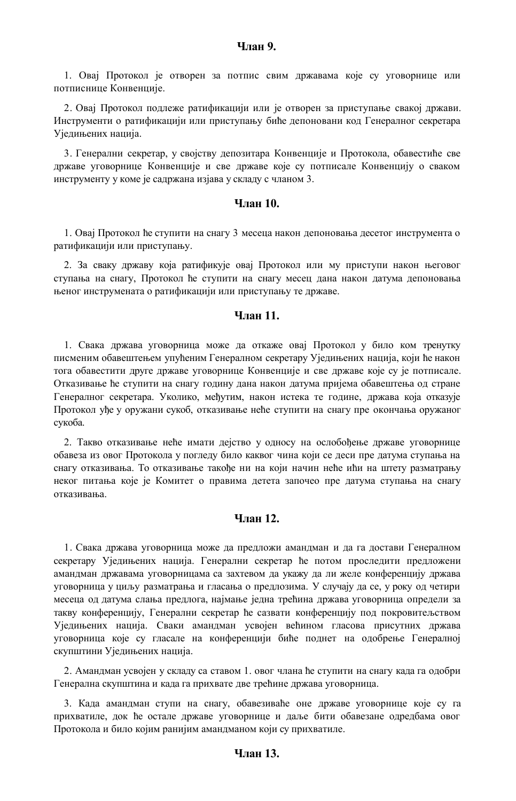### **Члан 9.**

1. Овај Протокол је отворен за потпис свим државама које су уговорнице или потписнице Конвенције.

2. Овај Протокол подлеже ратификацији или је отворен за приступање свакој држави. Инструменти о ратификацији или приступању биће депоновани код Генералног секретара Уједињених нација.

3. Генерални секретар, у својству депозитара Конвенције и Протокола, обавестиће све државе уговорнице Конвенције и све државе које су потписале Конвенцију о сваком инструменту у коме је садржана изјава у складу с чланом 3.

# **Члан 10.**

1. Овај Протокол ће ступити на снагу 3 месеца након депоновања десетог инструмента о ратификацији или приступању.

2. За сваку државу која ратификује овај Протокол или му приступи након његовог ступања на снагу, Протокол ће ступити на снагу месец дана након датума депоновања њеног инструмената о ратификацији или приступању те државе.

### **Члан 11.**

1. Свака држава уговорница може да откаже овај Протокол у било ком тренутку писменим обавештењем упућеним Генералном секретару Уједињених нација, који ће након тога обавестити друге државе уговорнице Конвенције и све државе које су је потписале. Отказивање ће ступити на снагу годину дана након датума пријема обавештења од стране Генералног секретара. Уколико, међутим, након истека те године, држава која отказује Протокол уђе у оружани сукоб, отказивање неће ступити на снагу пре окончања оружаног сукоба.

2. Такво отказивање неће имати дејство у односу на ослобођење државе уговорнице обавеза из овог Протокола у погледу било каквог чина који се деси пре датума ступања на снагу отказивања. То отказивање такође ни на који начин неће ићи на штету разматрању неког питања које је Комитет о правима детета започео пре датума ступања на снагу отказивања.

### **Члан 12.**

1. Свака држава уговорница може да предложи амандман и да га достави Генералном секретару Уједињених нација. Генерални секретар ће потом проследити предложени амандман државама уговорницама са захтевом да укажу да ли желе конференцију држава уговорница у циљу разматрања и гласања о предлозима. У случају да се, у року од четири месеца од датума слања предлога, најмање једна трећина држава уговорница определи за такву конференцију, Генерални секретар ће сазвати конференцију под покровитељством Уједињених нација. Сваки амандман усвојен већином гласова присутних држава уговорница које су гласале на конференцији биће поднет на одобрење Генералној скупштини Уједињених нација.

2. Амандман усвојен у складу са ставом 1. овог члана ће ступити на снагу када га одобри Генерална скупштина и када га прихвате две трећине држава уговорница.

3. Када амандман ступи на снагу, обавезиваће оне државе уговорнице које су га прихватиле, док ће остале државе уговорнице и даље бити обавезане одредбама овог Протокола и било којим ранијим амандманом који су прихватиле.

# **Члан 13.**